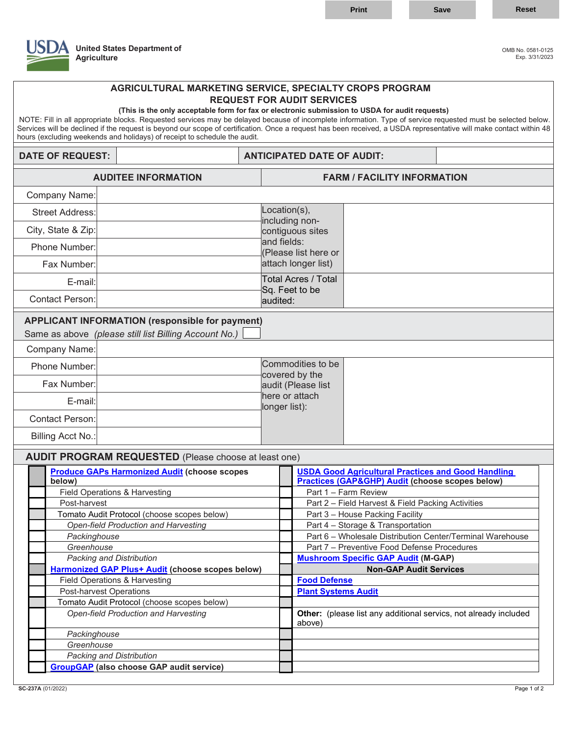

## **United States Department of** OMB No. 0581-0125 **Agriculture** Exp. 3/31/2023

## **AGRICULTURAL MARKETING SERVICE, SPECIALTY CROPS PROGRAM REQUEST FOR AUDIT SERVICES (This is the only acceptable form for fax or electronic submission to USDA for audit requests)**

 NOTE: Fill in all appropriate blocks. Requested services may be delayed because of incomplete information. Type of service requested must be selected below. Services will be declined if the request is beyond our scope of certification. Once a request has been received, a USDA representative will make contact within 48 hours (excluding weekends and holidays) of receipt to schedule the audit.

## **DATE OF REQUEST:**  $\vert$  **ANTICIPATED DATE OF AUDIT:**

| <b>AUDITEE INFORMATION</b>                                  |                                                                                                                 |                                                                           | <b>FARM / FACILITY INFORMATION</b>                                                 |  |  |
|-------------------------------------------------------------|-----------------------------------------------------------------------------------------------------------------|---------------------------------------------------------------------------|------------------------------------------------------------------------------------|--|--|
| <b>Company Name:</b>                                        |                                                                                                                 |                                                                           |                                                                                    |  |  |
| <b>Street Address:</b>                                      |                                                                                                                 | Location(s),<br>including non-<br>contiguous sites                        |                                                                                    |  |  |
| City, State & Zip:                                          |                                                                                                                 |                                                                           |                                                                                    |  |  |
| Phone Number:                                               |                                                                                                                 | and fields:                                                               |                                                                                    |  |  |
|                                                             |                                                                                                                 | (Please list here or<br>attach longer list)<br><b>Total Acres / Total</b> |                                                                                    |  |  |
| Fax Number:                                                 |                                                                                                                 |                                                                           |                                                                                    |  |  |
| E-mail:                                                     |                                                                                                                 | Sq. Feet to be<br>audited:                                                |                                                                                    |  |  |
| <b>Contact Person:</b>                                      |                                                                                                                 |                                                                           |                                                                                    |  |  |
| Company Name:                                               | <b>APPLICANT INFORMATION (responsible for payment)</b><br>Same as above (please still list Billing Account No.) |                                                                           |                                                                                    |  |  |
| Phone Number:                                               |                                                                                                                 |                                                                           | Commodities to be                                                                  |  |  |
| Fax Number:                                                 |                                                                                                                 |                                                                           | covered by the<br>audit (Please list                                               |  |  |
| E-mail:                                                     |                                                                                                                 |                                                                           | here or attach                                                                     |  |  |
| <b>Contact Person:</b>                                      |                                                                                                                 | longer list):                                                             |                                                                                    |  |  |
|                                                             |                                                                                                                 |                                                                           |                                                                                    |  |  |
| <b>Billing Acct No.:</b>                                    |                                                                                                                 |                                                                           |                                                                                    |  |  |
| <b>AUDIT PROGRAM REQUESTED</b> (Please choose at least one) |                                                                                                                 |                                                                           |                                                                                    |  |  |
|                                                             | <b>Produce GAPs Harmonized Audit (choose scopes</b>                                                             |                                                                           | <b>USDA Good Agricultural Practices and Good Handling</b>                          |  |  |
| below)                                                      |                                                                                                                 |                                                                           | <b>Practices (GAP&amp;GHP) Audit (choose scopes below)</b><br>Part 1 - Farm Review |  |  |
| Field Operations & Harvesting<br>Post-harvest               |                                                                                                                 |                                                                           | Part 2 - Field Harvest & Field Packing Activities                                  |  |  |
| Tomato Audit Protocol (choose scopes below)                 |                                                                                                                 |                                                                           | Part 3 - House Packing Facility                                                    |  |  |
| <b>Open-field Production and Harvesting</b>                 |                                                                                                                 |                                                                           | Part 4 - Storage & Transportation                                                  |  |  |
| Packinghouse                                                |                                                                                                                 |                                                                           | Part 6 - Wholesale Distribution Center/Terminal Warehouse                          |  |  |
| Greenhouse                                                  |                                                                                                                 |                                                                           | Part 7 - Preventive Food Defense Procedures                                        |  |  |
| Packing and Distribution                                    |                                                                                                                 |                                                                           | <b>Mushroom Specific GAP Audit (M-GAP)</b>                                         |  |  |
| <b>Harmonized GAP Plus+ Audit (choose scopes below)</b>     |                                                                                                                 |                                                                           | <b>Non-GAP Audit Services</b>                                                      |  |  |
| <b>Field Operations &amp; Harvesting</b>                    |                                                                                                                 |                                                                           | <b>Food Defense</b>                                                                |  |  |
| <b>Post-harvest Operations</b>                              |                                                                                                                 |                                                                           | <b>Plant Systems Audit</b>                                                         |  |  |
| Tomato Audit Protocol (choose scopes below)                 |                                                                                                                 |                                                                           |                                                                                    |  |  |
| Open-field Production and Harvesting                        |                                                                                                                 |                                                                           | Other: (please list any additional servics, not already included<br>above)         |  |  |
| Packinghouse                                                |                                                                                                                 |                                                                           |                                                                                    |  |  |
| Greenhouse                                                  |                                                                                                                 |                                                                           |                                                                                    |  |  |
| Packing and Distribution                                    |                                                                                                                 |                                                                           |                                                                                    |  |  |
| <b>GroupGAP</b> (also choose GAP audit service)             |                                                                                                                 |                                                                           |                                                                                    |  |  |